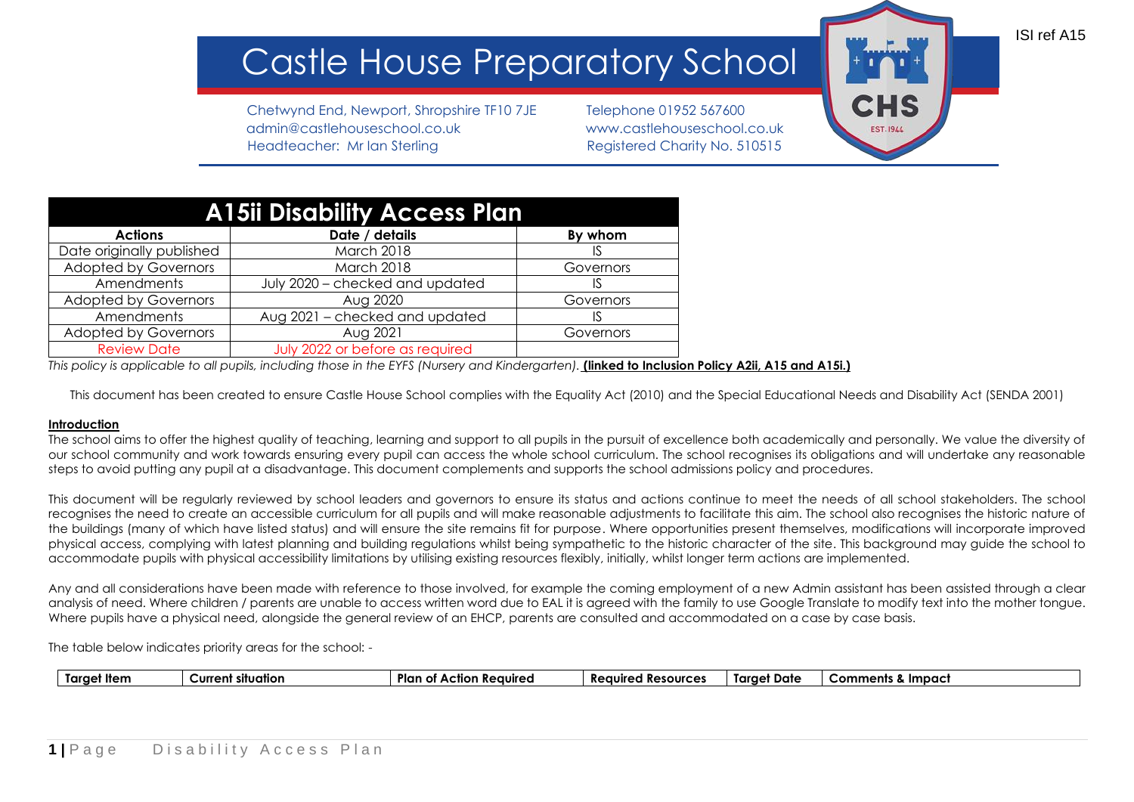## Castle House Preparatory Schoo

Chetwynd End, Newport, Shropshire TF10 7JE Telephone 01952 567600 admin@castlehouseschool.co.uk www.castlehouseschool.co.uk Headteacher: Mr Ian Sterling Theory Registered Charity No. 510515

| <b>CHS</b>       |  |
|------------------|--|
| <b>EST. 1944</b> |  |

ISI ref A15

| <b>A15ii Disability Access Plan</b> |                                 |           |  |  |  |
|-------------------------------------|---------------------------------|-----------|--|--|--|
| <b>Actions</b>                      | Date / details                  | By whom   |  |  |  |
| Date originally published           | March 2018                      | IS        |  |  |  |
| <b>Adopted by Governors</b>         | March 2018                      | Governors |  |  |  |
| Amendments                          | July 2020 - checked and updated | IS        |  |  |  |
| <b>Adopted by Governors</b>         | Aug 2020                        | Governors |  |  |  |
| Amendments                          | Aug 2021 - checked and updated  | IS        |  |  |  |
| <b>Adopted by Governors</b>         | Aug 2021                        | Governors |  |  |  |
| <b>Review Date</b>                  | July 2022 or before as required |           |  |  |  |

*This policy is applicable to all pupils, including those in the EYFS (Nursery and Kindergarten).* **(linked to Inclusion Policy A2ii, A15 and A15i.)**

This document has been created to ensure Castle House School complies with the Equality Act (2010) and the Special Educational Needs and Disability Act (SENDA 2001)

## **Introduction**

The school aims to offer the highest quality of teaching, learning and support to all pupils in the pursuit of excellence both academically and personally. We value the diversity of our school community and work towards ensuring every pupil can access the whole school curriculum. The school recognises its obligations and will undertake any reasonable steps to avoid putting any pupil at a disadvantage. This document complements and supports the school admissions policy and procedures.

This document will be regularly reviewed by school leaders and governors to ensure its status and actions continue to meet the needs of all school stakeholders. The school recognises the need to create an accessible curriculum for all pupils and will make reasonable adjustments to facilitate this aim. The school also recognises the historic nature of the buildings (many of which have listed status) and will ensure the site remains fit for purpose. Where opportunities present themselves, modifications will incorporate improved physical access, complying with latest planning and building regulations whilst being sympathetic to the historic character of the site. This background may guide the school to accommodate pupils with physical accessibility limitations by utilising existing resources flexibly, initially, whilst longer term actions are implemented.

Any and all considerations have been made with reference to those involved, for example the coming employment of a new Admin assistant has been assisted through a clear analysis of need. Where children / parents are unable to access written word due to EAL it is agreed with the family to use Google Translate to modify text into the mother tongue. Where pupils have a physical need, alongside the general review of an EHCP, parents are consulted and accommodated on a case by case basis.

The table below indicates priority areas for the school: -

|  | † Item<br>tara. | ____<br>situation<br>Curre<br>ent | Plar.<br>.<br>eaure:<br>$\mathbf{A}$ | Re<br>esources<br>auirec<br>. . | Tarae<br>Date | Impac<br>comments_ |
|--|-----------------|-----------------------------------|--------------------------------------|---------------------------------|---------------|--------------------|
|--|-----------------|-----------------------------------|--------------------------------------|---------------------------------|---------------|--------------------|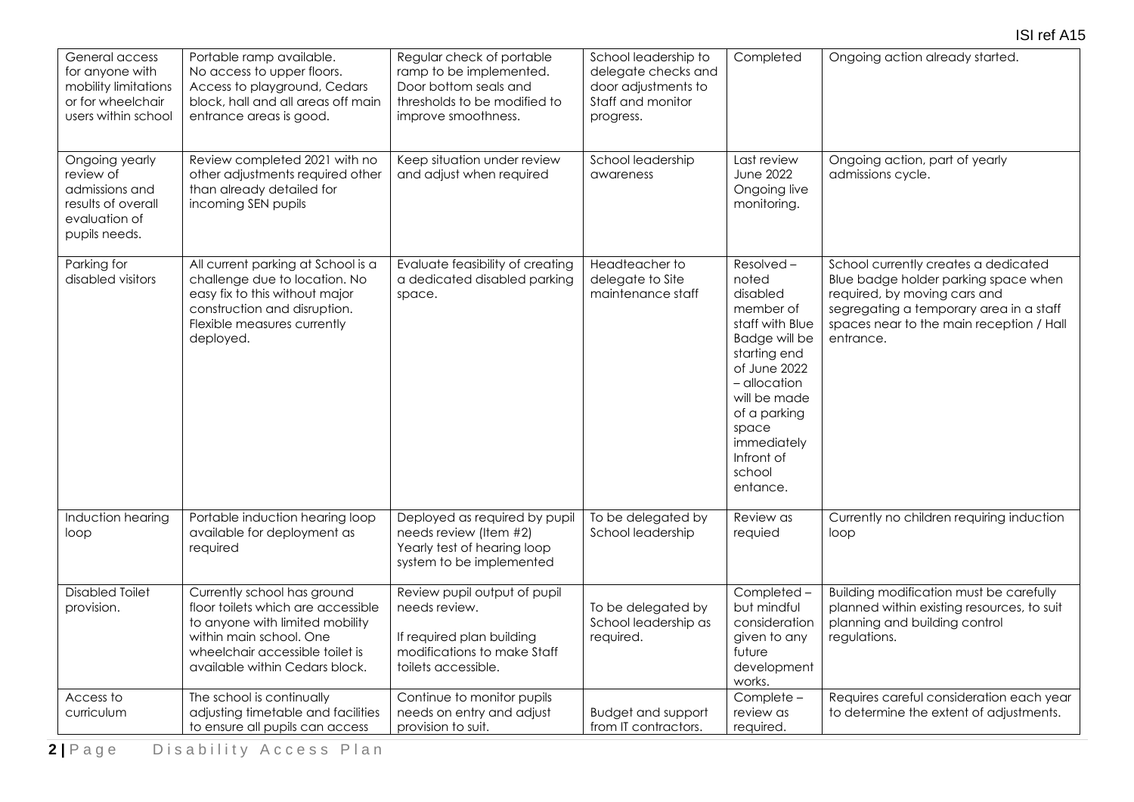| General access<br>for anyone with<br>mobility limitations<br>or for wheelchair<br>users within school | Portable ramp available.<br>No access to upper floors.<br>Access to playground, Cedars<br>block, hall and all areas off main<br>entrance areas is good.                                              | Regular check of portable<br>ramp to be implemented.<br>Door bottom seals and<br>thresholds to be modified to<br>improve smoothness. | School leadership to<br>delegate checks and<br>door adjustments to<br>Staff and monitor<br>progress. | Completed                                                                                                                                                                                                                   | Ongoing action already started.                                                                                                                                                                                  |
|-------------------------------------------------------------------------------------------------------|------------------------------------------------------------------------------------------------------------------------------------------------------------------------------------------------------|--------------------------------------------------------------------------------------------------------------------------------------|------------------------------------------------------------------------------------------------------|-----------------------------------------------------------------------------------------------------------------------------------------------------------------------------------------------------------------------------|------------------------------------------------------------------------------------------------------------------------------------------------------------------------------------------------------------------|
| Ongoing yearly<br>review of<br>admissions and<br>results of overall<br>evaluation of<br>pupils needs. | Review completed 2021 with no<br>other adjustments required other<br>than already detailed for<br>incoming SEN pupils                                                                                | Keep situation under review<br>and adjust when required                                                                              | School leadership<br>awareness                                                                       | Last review<br><b>June 2022</b><br>Ongoing live<br>monitoring.                                                                                                                                                              | Ongoing action, part of yearly<br>admissions cycle.                                                                                                                                                              |
| Parking for<br>disabled visitors                                                                      | All current parking at School is a<br>challenge due to location. No<br>easy fix to this without major<br>construction and disruption.<br>Flexible measures currently<br>deployed.                    | Evaluate feasibility of creating<br>a dedicated disabled parking<br>space.                                                           | Headteacher to<br>delegate to Site<br>maintenance staff                                              | Resolved-<br>noted<br>disabled<br>member of<br>staff with Blue<br>Badge will be<br>starting end<br>of June 2022<br>- allocation<br>will be made<br>of a parking<br>space<br>immediately<br>Infront of<br>school<br>entance. | School currently creates a dedicated<br>Blue badge holder parking space when<br>required, by moving cars and<br>segregating a temporary area in a staff<br>spaces near to the main reception / Hall<br>entrance. |
| Induction hearing<br>loop                                                                             | Portable induction hearing loop<br>available for deployment as<br>required                                                                                                                           | Deployed as required by pupil<br>needs review (Item #2)<br>Yearly test of hearing loop<br>system to be implemented                   | To be delegated by<br>School leadership                                                              | Review as<br>requied                                                                                                                                                                                                        | Currently no children requiring induction<br>loop                                                                                                                                                                |
| <b>Disabled Toilet</b><br>provision.                                                                  | Currently school has ground<br>floor toilets which are accessible<br>to anyone with limited mobility<br>within main school. One<br>wheelchair accessible toilet is<br>available within Cedars block. | Review pupil output of pupil<br>needs review.<br>If required plan building<br>modifications to make Staff<br>toilets accessible.     | To be delegated by<br>School leadership as<br>required.                                              | Completed-<br>but mindful<br>consideration<br>given to any<br>future<br>development<br>works.                                                                                                                               | Building modification must be carefully<br>planned within existing resources, to suit<br>planning and building control<br>regulations.                                                                           |
| Access to<br>curriculum                                                                               | The school is continually<br>adjusting timetable and facilities<br>to ensure all pupils can access                                                                                                   | Continue to monitor pupils<br>needs on entry and adjust<br>provision to suit.                                                        | <b>Budget and support</b><br>from IT contractors.                                                    | Complete -<br>review as<br>required.                                                                                                                                                                                        | Requires careful consideration each year<br>to determine the extent of adjustments.                                                                                                                              |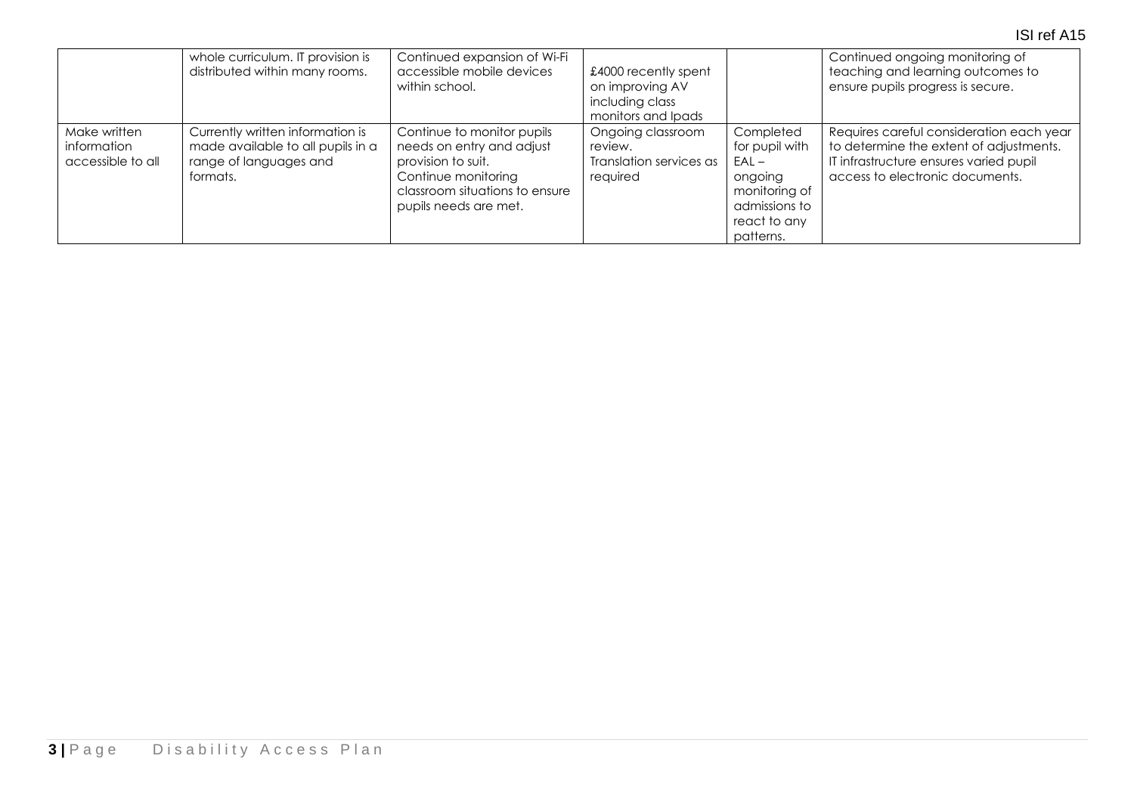## ISI ref A15

|                                                  | whole curriculum. IT provision is<br>distributed within many rooms.                                         | Continued expansion of Wi-Fi<br>accessible mobile devices<br>within school.                                                                                     | £4000 recently spent<br>on improving AV<br>including class<br>monitors and Ipads |                                                                                                                  | Continued ongoing monitoring of<br>teaching and learning outcomes to<br>ensure pupils progress is secure.                                                        |
|--------------------------------------------------|-------------------------------------------------------------------------------------------------------------|-----------------------------------------------------------------------------------------------------------------------------------------------------------------|----------------------------------------------------------------------------------|------------------------------------------------------------------------------------------------------------------|------------------------------------------------------------------------------------------------------------------------------------------------------------------|
| Make written<br>information<br>accessible to all | Currently written information is<br>made available to all pupils in a<br>range of languages and<br>formats. | Continue to monitor pupils<br>needs on entry and adjust<br>provision to suit.<br>Continue monitoring<br>classroom situations to ensure<br>pupils needs are met. | Ongoing classroom<br>review.<br>Translation services as<br>required              | Completed<br>for pupil with<br>$EAL -$<br>ongoing<br>monitoring of<br>admissions to<br>react to any<br>patterns. | Requires careful consideration each year<br>to determine the extent of adjustments.<br>IT infrastructure ensures varied pupil<br>access to electronic documents. |